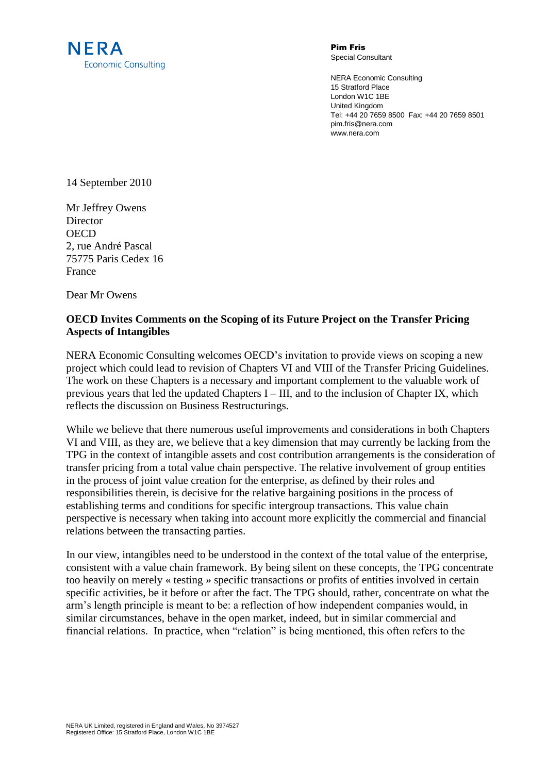

Pim Fris Special Consultant

NERA Economic Consulting 15 Stratford Place London W1C 1BE United Kingdom Tel: +44 20 7659 8500 Fax: +44 20 7659 8501 pim.fris@nera.com www.nera.com

14 September 2010

Mr Jeffrey Owens **Director OECD** 2, rue André Pascal 75775 Paris Cedex 16 France

Dear Mr Owens

## **OECD Invites Comments on the Scoping of its Future Project on the Transfer Pricing Aspects of Intangibles**

NERA Economic Consulting welcomes OECD's invitation to provide views on scoping a new project which could lead to revision of Chapters VI and VIII of the Transfer Pricing Guidelines. The work on these Chapters is a necessary and important complement to the valuable work of previous years that led the updated Chapters I – III, and to the inclusion of Chapter IX, which reflects the discussion on Business Restructurings.

While we believe that there numerous useful improvements and considerations in both Chapters VI and VIII, as they are, we believe that a key dimension that may currently be lacking from the TPG in the context of intangible assets and cost contribution arrangements is the consideration of transfer pricing from a total value chain perspective. The relative involvement of group entities in the process of joint value creation for the enterprise, as defined by their roles and responsibilities therein, is decisive for the relative bargaining positions in the process of establishing terms and conditions for specific intergroup transactions. This value chain perspective is necessary when taking into account more explicitly the commercial and financial relations between the transacting parties.

In our view, intangibles need to be understood in the context of the total value of the enterprise, consistent with a value chain framework. By being silent on these concepts, the TPG concentrate too heavily on merely « testing » specific transactions or profits of entities involved in certain specific activities, be it before or after the fact. The TPG should, rather, concentrate on what the arm's length principle is meant to be: a reflection of how independent companies would, in similar circumstances, behave in the open market, indeed, but in similar commercial and financial relations. In practice, when "relation" is being mentioned, this often refers to the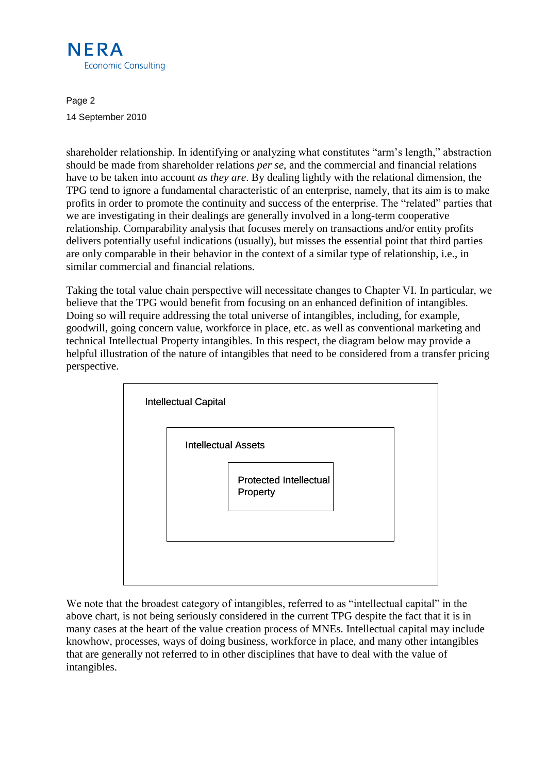

Page 2 14 September 2010

shareholder relationship. In identifying or analyzing what constitutes "arm's length," abstraction should be made from shareholder relations *per se*, and the commercial and financial relations have to be taken into account *as they are*. By dealing lightly with the relational dimension, the TPG tend to ignore a fundamental characteristic of an enterprise, namely, that its aim is to make profits in order to promote the continuity and success of the enterprise. The "related" parties that we are investigating in their dealings are generally involved in a long-term cooperative relationship. Comparability analysis that focuses merely on transactions and/or entity profits delivers potentially useful indications (usually), but misses the essential point that third parties are only comparable in their behavior in the context of a similar type of relationship, i.e., in similar commercial and financial relations.

Taking the total value chain perspective will necessitate changes to Chapter VI. In particular, we believe that the TPG would benefit from focusing on an enhanced definition of intangibles. Doing so will require addressing the total universe of intangibles, including, for example, goodwill, going concern value, workforce in place, etc. as well as conventional marketing and technical Intellectual Property intangibles. In this respect, the diagram below may provide a helpful illustration of the nature of intangibles that need to be considered from a transfer pricing perspective.



We note that the broadest category of intangibles, referred to as "intellectual capital" in the above chart, is not being seriously considered in the current TPG despite the fact that it is in many cases at the heart of the value creation process of MNEs. Intellectual capital may include knowhow, processes, ways of doing business, workforce in place, and many other intangibles that are generally not referred to in other disciplines that have to deal with the value of intangibles.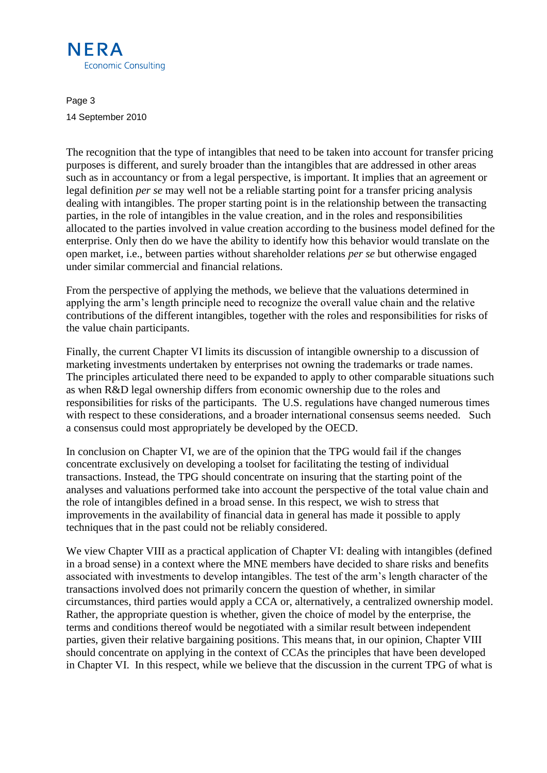

Page 3 14 September 2010

The recognition that the type of intangibles that need to be taken into account for transfer pricing purposes is different, and surely broader than the intangibles that are addressed in other areas such as in accountancy or from a legal perspective, is important. It implies that an agreement or legal definition *per se* may well not be a reliable starting point for a transfer pricing analysis dealing with intangibles. The proper starting point is in the relationship between the transacting parties, in the role of intangibles in the value creation, and in the roles and responsibilities allocated to the parties involved in value creation according to the business model defined for the enterprise. Only then do we have the ability to identify how this behavior would translate on the open market, i.e., between parties without shareholder relations *per se* but otherwise engaged under similar commercial and financial relations.

From the perspective of applying the methods, we believe that the valuations determined in applying the arm's length principle need to recognize the overall value chain and the relative contributions of the different intangibles, together with the roles and responsibilities for risks of the value chain participants.

Finally, the current Chapter VI limits its discussion of intangible ownership to a discussion of marketing investments undertaken by enterprises not owning the trademarks or trade names. The principles articulated there need to be expanded to apply to other comparable situations such as when R&D legal ownership differs from economic ownership due to the roles and responsibilities for risks of the participants. The U.S. regulations have changed numerous times with respect to these considerations, and a broader international consensus seems needed. Such a consensus could most appropriately be developed by the OECD.

In conclusion on Chapter VI, we are of the opinion that the TPG would fail if the changes concentrate exclusively on developing a toolset for facilitating the testing of individual transactions. Instead, the TPG should concentrate on insuring that the starting point of the analyses and valuations performed take into account the perspective of the total value chain and the role of intangibles defined in a broad sense. In this respect, we wish to stress that improvements in the availability of financial data in general has made it possible to apply techniques that in the past could not be reliably considered.

We view Chapter VIII as a practical application of Chapter VI: dealing with intangibles (defined in a broad sense) in a context where the MNE members have decided to share risks and benefits associated with investments to develop intangibles. The test of the arm's length character of the transactions involved does not primarily concern the question of whether, in similar circumstances, third parties would apply a CCA or, alternatively, a centralized ownership model. Rather, the appropriate question is whether, given the choice of model by the enterprise, the terms and conditions thereof would be negotiated with a similar result between independent parties, given their relative bargaining positions. This means that, in our opinion, Chapter VIII should concentrate on applying in the context of CCAs the principles that have been developed in Chapter VI. In this respect, while we believe that the discussion in the current TPG of what is